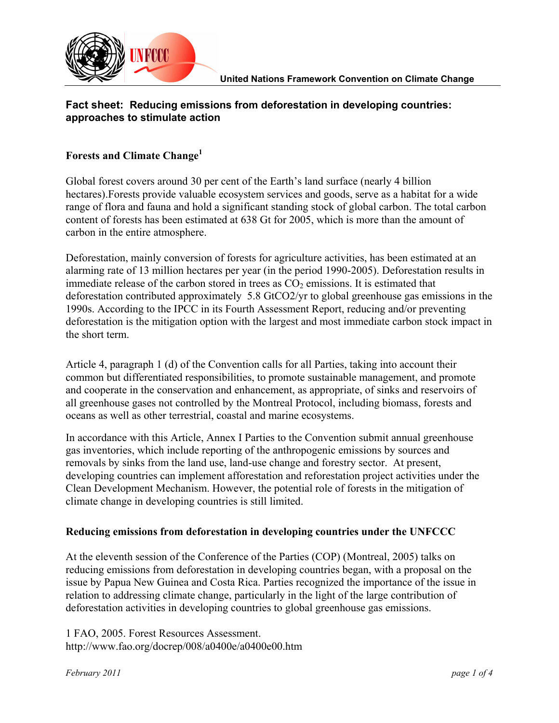

# **Fact sheet: Reducing emissions from deforestation in developing countries: approaches to stimulate action**

## **Forests and Climate Change<sup>1</sup>**

Global forest covers around 30 per cent of the Earth's land surface (nearly 4 billion hectares).Forests provide valuable ecosystem services and goods, serve as a habitat for a wide range of flora and fauna and hold a significant standing stock of global carbon. The total carbon content of forests has been estimated at 638 Gt for 2005, which is more than the amount of carbon in the entire atmosphere.

Deforestation, mainly conversion of forests for agriculture activities, has been estimated at an alarming rate of 13 million hectares per year (in the period 1990-2005). Deforestation results in immediate release of the carbon stored in trees as  $CO<sub>2</sub>$  emissions. It is estimated that deforestation contributed approximately 5.8 GtCO2/yr to global greenhouse gas emissions in the 1990s. According to the IPCC in its Fourth Assessment Report, reducing and/or preventing deforestation is the mitigation option with the largest and most immediate carbon stock impact in the short term.

Article 4, paragraph 1 (d) of the Convention calls for all Parties, taking into account their common but differentiated responsibilities, to promote sustainable management, and promote and cooperate in the conservation and enhancement, as appropriate, of sinks and reservoirs of all greenhouse gases not controlled by the Montreal Protocol, including biomass, forests and oceans as well as other terrestrial, coastal and marine ecosystems.

In accordance with this Article, Annex I Parties to the Convention submit annual greenhouse gas inventories, which include reporting of the anthropogenic emissions by sources and removals by sinks from the land use, land-use change and forestry sector. At present, developing countries can implement afforestation and reforestation project activities under the Clean Development Mechanism. However, the potential role of forests in the mitigation of climate change in developing countries is still limited.

## **Reducing emissions from deforestation in developing countries under the UNFCCC**

At the eleventh session of the Conference of the Parties (COP) (Montreal, 2005) talks on reducing emissions from deforestation in developing countries began, with a proposal on the issue by Papua New Guinea and Costa Rica. Parties recognized the importance of the issue in relation to addressing climate change, particularly in the light of the large contribution of deforestation activities in developing countries to global greenhouse gas emissions.

1 FAO, 2005. Forest Resources Assessment. http://www.fao.org/docrep/008/a0400e/a0400e00.htm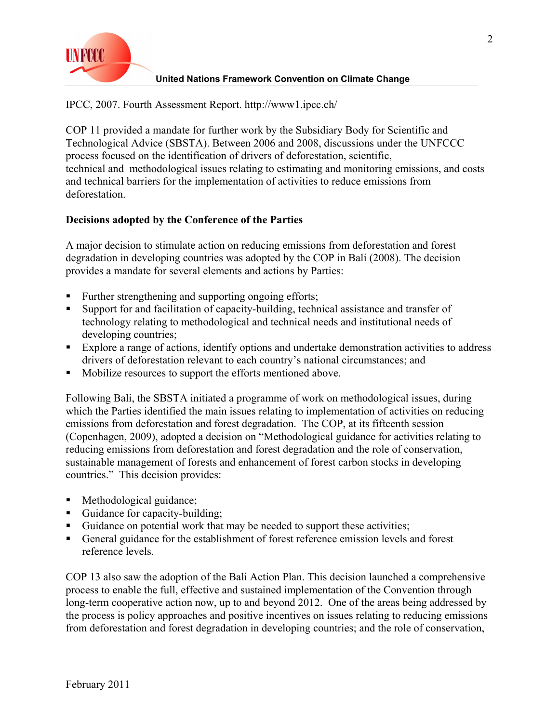

#### **United Nations Framework Convention on Climate Change**

IPCC, 2007. Fourth Assessment Report. http://www1.ipcc.ch/

COP 11 provided a mandate for further work by the Subsidiary Body for Scientific and Technological Advice (SBSTA). Between 2006 and 2008, discussions under the UNFCCC process focused on the identification of drivers of deforestation, scientific, technical and methodological issues relating to estimating and monitoring emissions, and costs and technical barriers for the implementation of activities to reduce emissions from deforestation.

## **Decisions adopted by the Conference of the Parties**

A major decision to stimulate action on reducing emissions from deforestation and forest degradation in developing countries was adopted by the COP in Bali (2008). The decision provides a mandate for several elements and actions by Parties:

- ! Further strengthening and supporting ongoing efforts;
- Support for and facilitation of capacity-building, technical assistance and transfer of technology relating to methodological and technical needs and institutional needs of developing countries;
- ! Explore a range of actions, identify options and undertake demonstration activities to address drivers of deforestation relevant to each country's national circumstances; and
- ! Mobilize resources to support the efforts mentioned above.

Following Bali, the SBSTA initiated a programme of work on methodological issues, during which the Parties identified the main issues relating to implementation of activities on reducing emissions from deforestation and forest degradation. The COP, at its fifteenth session (Copenhagen, 2009), adopted a decision on "Methodological guidance for activities relating to reducing emissions from deforestation and forest degradation and the role of conservation, sustainable management of forests and enhancement of forest carbon stocks in developing countries." This decision provides:

- ! Methodological guidance;
- ! Guidance for capacity-building;
- ! Guidance on potential work that may be needed to support these activities;
- ! General guidance for the establishment of forest reference emission levels and forest reference levels.

COP 13 also saw the adoption of the Bali Action Plan. This decision launched a comprehensive process to enable the full, effective and sustained implementation of the Convention through long-term cooperative action now, up to and beyond 2012. One of the areas being addressed by the process is policy approaches and positive incentives on issues relating to reducing emissions from deforestation and forest degradation in developing countries; and the role of conservation,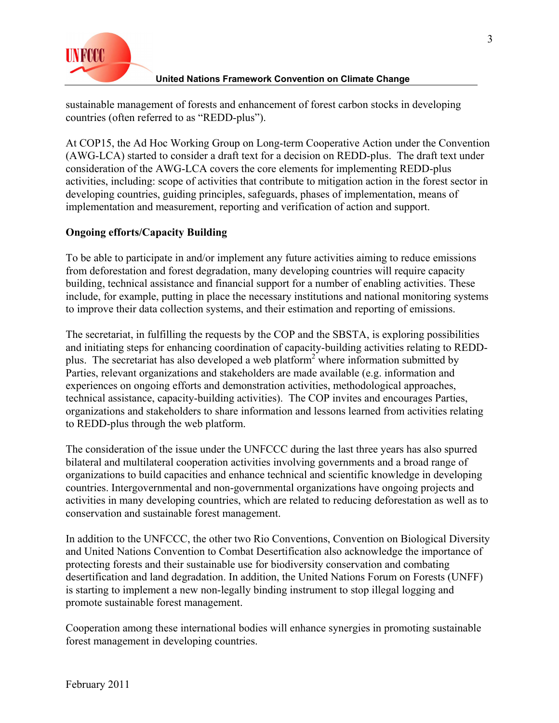

### **United Nations Framework Convention on Climate Change**

sustainable management of forests and enhancement of forest carbon stocks in developing countries (often referred to as "REDD-plus").

At COP15, the Ad Hoc Working Group on Long-term Cooperative Action under the Convention (AWG-LCA) started to consider a draft text for a decision on REDD-plus. The draft text under consideration of the AWG-LCA covers the core elements for implementing REDD-plus activities, including: scope of activities that contribute to mitigation action in the forest sector in developing countries, guiding principles, safeguards, phases of implementation, means of implementation and measurement, reporting and verification of action and support.

# **Ongoing efforts/Capacity Building**

To be able to participate in and/or implement any future activities aiming to reduce emissions from deforestation and forest degradation, many developing countries will require capacity building, technical assistance and financial support for a number of enabling activities. These include, for example, putting in place the necessary institutions and national monitoring systems to improve their data collection systems, and their estimation and reporting of emissions.

The secretariat, in fulfilling the requests by the COP and the SBSTA, is exploring possibilities and initiating steps for enhancing coordination of capacity-building activities relating to REDDplus. The secretariat has also developed a web platform<sup>2</sup> where information submitted by Parties, relevant organizations and stakeholders are made available (e.g. information and experiences on ongoing efforts and demonstration activities, methodological approaches, technical assistance, capacity-building activities). The COP invites and encourages Parties, organizations and stakeholders to share information and lessons learned from activities relating to REDD-plus through the web platform.

The consideration of the issue under the UNFCCC during the last three years has also spurred bilateral and multilateral cooperation activities involving governments and a broad range of organizations to build capacities and enhance technical and scientific knowledge in developing countries. Intergovernmental and non-governmental organizations have ongoing projects and activities in many developing countries, which are related to reducing deforestation as well as to conservation and sustainable forest management.

In addition to the UNFCCC, the other two Rio Conventions, Convention on Biological Diversity and United Nations Convention to Combat Desertification also acknowledge the importance of protecting forests and their sustainable use for biodiversity conservation and combating desertification and land degradation. In addition, the United Nations Forum on Forests (UNFF) is starting to implement a new non-legally binding instrument to stop illegal logging and promote sustainable forest management.

Cooperation among these international bodies will enhance synergies in promoting sustainable forest management in developing countries.